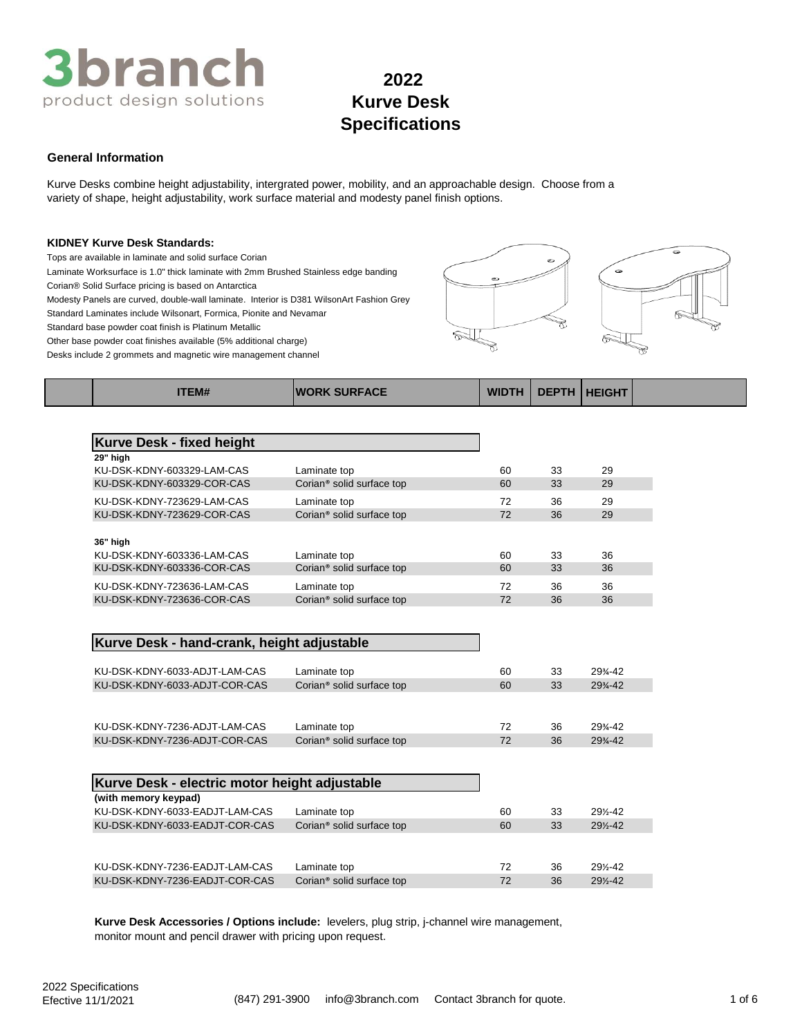

# **General Information**

Kurve Desks combine height adjustability, intergrated power, mobility, and an approachable design. Choose from a variety of shape, height adjustability, work surface material and modesty panel finish options.

#### **KIDNEY Kurve Desk Standards:**

Tops are available in laminate and solid surface Corian

Laminate Worksurface is 1.0" thick laminate with 2mm Brushed Stainless edge banding

Corian® Solid Surface pricing is based on Antarctica

Modesty Panels are curved, double-wall laminate. Interior is D381 WilsonArt Fashion Grey

Standard Laminates include Wilsonart, Formica, Pionite and Nevamar

Standard base powder coat finish is Platinum Metallic Other base powder coat finishes available (5% additional charge)

Desks include 2 grommets and magnetic wire management channel





| <b>ITEM#</b>                     | <b>IWORK SURFACE</b>                  | <b>WIDTH</b> | <b>DEPTH</b> | <b>HEIGHT</b> |  |
|----------------------------------|---------------------------------------|--------------|--------------|---------------|--|
|                                  |                                       |              |              |               |  |
| <b>Kurve Desk - fixed height</b> |                                       |              |              |               |  |
| 29" high                         |                                       |              |              |               |  |
| KU-DSK-KDNY-603329-LAM-CAS       | Laminate top                          | 60           | 33           | 29            |  |
| KU-DSK-KDNY-603329-COR-CAS       | Corian <sup>®</sup> solid surface top | 60           | 33           | 29            |  |
| KU-DSK-KDNY-723629-LAM-CAS       | Laminate top                          | 72           | 36           | 29            |  |
| KU-DSK-KDNY-723629-COR-CAS       | Corian <sup>®</sup> solid surface top | 72           | 36           | 29            |  |
|                                  |                                       |              |              |               |  |
| 36" high                         |                                       |              |              |               |  |
| KU-DSK-KDNY-603336-LAM-CAS       | Laminate top                          | 60           | 33           | 36            |  |
| KU-DSK-KDNY-603336-COR-CAS       | Corian <sup>®</sup> solid surface top | 60           | 33           | 36            |  |
| KU-DSK-KDNY-723636-LAM-CAS       | Laminate top                          | 72           | 36           | 36            |  |
| KU-DSK-KDNY-723636-COR-CAS       | Corian <sup>®</sup> solid surface top | 72           | 36           | 36            |  |

## **Kurve Desk - hand-crank, height adjustable**

| KU-DSK-KDNY-6033-ADJT-LAM-CAS<br>KU-DSK-KDNY-6033-ADJT-COR-CAS | Laminate top<br>Corian <sup>®</sup> solid surface top | 60<br>60 | 33<br>33 | 29%-42<br>$29% - 42$ |
|----------------------------------------------------------------|-------------------------------------------------------|----------|----------|----------------------|
|                                                                |                                                       |          |          |                      |
| KU-DSK-KDNY-7236-ADJT-LAM-CAS                                  | Laminate top                                          | 72       | 36       | 29%-42               |
| KU-DSK-KDNY-7236-ADJT-COR-CAS                                  | Corian <sup>®</sup> solid surface top                 | 72       | 36       | $29% - 42$           |

| Kurve Desk - electric motor height adjustable |                                       |    |    |        |
|-----------------------------------------------|---------------------------------------|----|----|--------|
| (with memory keypad)                          |                                       |    |    |        |
| KU-DSK-KDNY-6033-EADJT-LAM-CAS                | Laminate top                          | 60 | 33 | 29%-42 |
| KU-DSK-KDNY-6033-EADJT-COR-CAS                | Corian <sup>®</sup> solid surface top | 60 | 33 | 29%-42 |
|                                               |                                       |    |    |        |
|                                               |                                       |    |    |        |
| KU-DSK-KDNY-7236-EADJT-LAM-CAS                | Laminate top                          | 72 | 36 | 29½-42 |
| KU-DSK-KDNY-7236-EADJT-COR-CAS                | Corian <sup>®</sup> solid surface top | 72 | 36 | 29%-42 |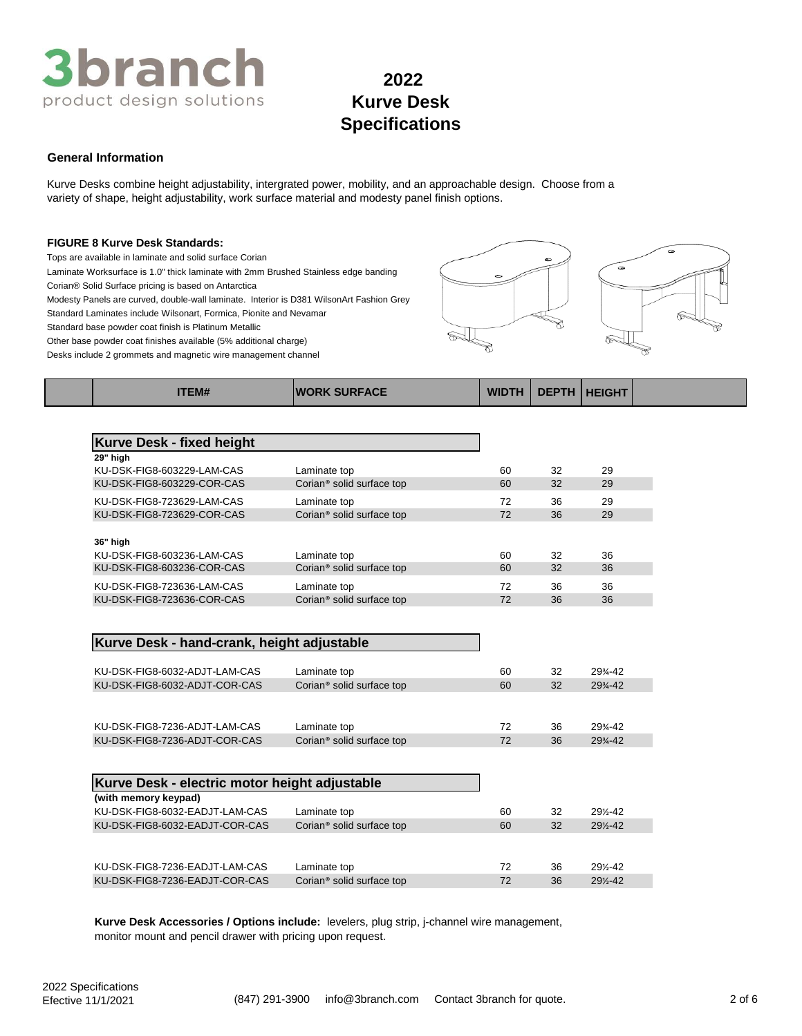

# **General Information**

Kurve Desks combine height adjustability, intergrated power, mobility, and an approachable design. Choose from a variety of shape, height adjustability, work surface material and modesty panel finish options.

# **FIGURE 8 Kurve Desk Standards:**

Tops are available in laminate and solid surface Corian

Laminate Worksurface is 1.0" thick laminate with 2mm Brushed Stainless edge banding

Corian® Solid Surface pricing is based on Antarctica

Modesty Panels are curved, double-wall laminate. Interior is D381 WilsonArt Fashion Grey

Standard Laminates include Wilsonart, Formica, Pionite and Nevamar

Standard base powder coat finish is Platinum Metallic

Other base powder coat finishes available (5% additional charge) Desks include 2 grommets and magnetic wire management channel



| <b>ITEM#</b>                     | <b>WORK SURFACE</b>                   | <b>WIDTH</b> | <b>DEPTH</b> | <b>HEIGHT</b> |  |
|----------------------------------|---------------------------------------|--------------|--------------|---------------|--|
|                                  |                                       |              |              |               |  |
| <b>Kurve Desk - fixed height</b> |                                       |              |              |               |  |
| 29" high                         |                                       |              |              |               |  |
| KU-DSK-FIG8-603229-LAM-CAS       | Laminate top                          | 60           | 32           | 29            |  |
| KU-DSK-FIG8-603229-COR-CAS       | Corian <sup>®</sup> solid surface top | 60           | 32           | 29            |  |
| KU-DSK-FIG8-723629-LAM-CAS       | Laminate top                          | 72           | 36           | 29            |  |
| KU-DSK-FIG8-723629-COR-CAS       | Corian <sup>®</sup> solid surface top | 72           | 36           | 29            |  |
|                                  |                                       |              |              |               |  |
| 36" high                         |                                       |              |              |               |  |
| KU-DSK-FIG8-603236-LAM-CAS       | Laminate top                          | 60           | 32           | 36            |  |
| KU-DSK-FIG8-603236-COR-CAS       | Corian <sup>®</sup> solid surface top | 60           | 32           | 36            |  |
| KU-DSK-FIG8-723636-LAM-CAS       | Laminate top                          | 72           | 36           | 36            |  |
| KU-DSK-FIG8-723636-COR-CAS       | Corian <sup>®</sup> solid surface top | 72           | 36           | 36            |  |

## **Kurve Desk - hand-crank, height adjustable**

| KU-DSK-FIG8-6032-ADJT-LAM-CAS | Laminate top                          | 60 | 32 | 29%-42             |
|-------------------------------|---------------------------------------|----|----|--------------------|
| KU-DSK-FIG8-6032-ADJT-COR-CAS | Corian <sup>®</sup> solid surface top | 60 | 32 | $29% - 42$         |
|                               |                                       |    |    |                    |
| KU-DSK-FIG8-7236-ADJT-LAM-CAS | Laminate top                          | 72 | 36 | 29%-42             |
| KU-DSK-FIG8-7236-ADJT-COR-CAS | Corian <sup>®</sup> solid surface top | 72 | 36 | $29\frac{3}{4}-42$ |

| Kurve Desk - electric motor height adjustable |                                       |    |    |        |
|-----------------------------------------------|---------------------------------------|----|----|--------|
| (with memory keypad)                          |                                       |    |    |        |
| KU-DSK-FIG8-6032-EADJT-LAM-CAS                | Laminate top                          | 60 | 32 | 29%-42 |
| KU-DSK-FIG8-6032-EADJT-COR-CAS                | Corian <sup>®</sup> solid surface top | 60 | 32 | 29%-42 |
|                                               |                                       |    |    |        |
|                                               |                                       |    |    |        |
| KU-DSK-FIG8-7236-EADJT-LAM-CAS                | Laminate top                          | 72 | 36 | 29%-42 |
| KU-DSK-FIG8-7236-EADJT-COR-CAS                | Corian <sup>®</sup> solid surface top | 72 | 36 | 29%-42 |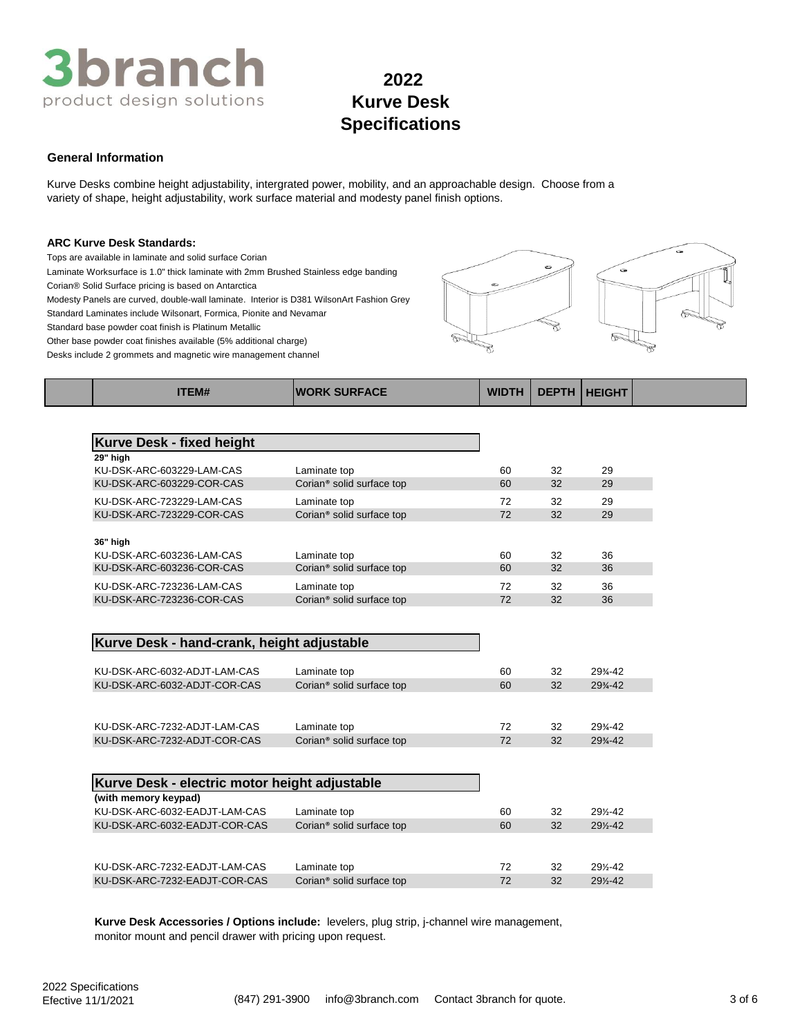

# **General Information**

Kurve Desks combine height adjustability, intergrated power, mobility, and an approachable design. Choose from a variety of shape, height adjustability, work surface material and modesty panel finish options.

#### **ARC Kurve Desk Standards:**

Tops are available in laminate and solid surface Corian

Laminate Worksurface is 1.0" thick laminate with 2mm Brushed Stainless edge banding

Corian® Solid Surface pricing is based on Antarctica

Modesty Panels are curved, double-wall laminate. Interior is D381 WilsonArt Fashion Grey

Standard Laminates include Wilsonart, Formica, Pionite and Nevamar

Standard base powder coat finish is Platinum Metallic

Other base powder coat finishes available (5% additional charge)

Desks include 2 grommets and magnetic wire management channel



| <b>Kurve Desk - fixed height</b> |                                       |    |    |    |  |
|----------------------------------|---------------------------------------|----|----|----|--|
| 29" high                         |                                       |    |    |    |  |
| KU-DSK-ARC-603229-LAM-CAS        | Laminate top                          | 60 | 32 | 29 |  |
| KU-DSK-ARC-603229-COR-CAS        | Corian <sup>®</sup> solid surface top | 60 | 32 | 29 |  |
| KU-DSK-ARC-723229-LAM-CAS        | Laminate top                          | 72 | 32 | 29 |  |
| KU-DSK-ARC-723229-COR-CAS        | Corian <sup>®</sup> solid surface top | 72 | 32 | 29 |  |
|                                  |                                       |    |    |    |  |
| 36" high                         |                                       |    |    |    |  |
| KU-DSK-ARC-603236-LAM-CAS        | Laminate top                          | 60 | 32 | 36 |  |
| KU-DSK-ARC-603236-COR-CAS        | Corian <sup>®</sup> solid surface top | 60 | 32 | 36 |  |
| KU-DSK-ARC-723236-LAM-CAS        | Laminate top                          | 72 | 32 | 36 |  |
| KU-DSK-ARC-723236-COR-CAS        | Corian <sup>®</sup> solid surface top | 72 | 32 | 36 |  |

**ITEM# WORK SURFACE WIDTH DEPTH HEIGHT**

# **Kurve Desk - hand-crank, height adjustable**

| KU-DSK-ARC-6032-ADJT-LAM-CAS<br>KU-DSK-ARC-6032-ADJT-COR-CAS | Laminate top<br>Corian <sup>®</sup> solid surface top | 60<br>60 | 32<br>32 | 29%-42<br>$29% - 42$ |
|--------------------------------------------------------------|-------------------------------------------------------|----------|----------|----------------------|
|                                                              |                                                       |          |          |                      |
| KU-DSK-ARC-7232-ADJT-LAM-CAS                                 | Laminate top                                          | 72       | 32       | 29%-42               |
| KU-DSK-ARC-7232-ADJT-COR-CAS                                 | Corian <sup>®</sup> solid surface top                 | 72       | 32       | $29% - 42$           |

| Kurve Desk - electric motor height adjustable |                                       |    |    |        |
|-----------------------------------------------|---------------------------------------|----|----|--------|
| (with memory keypad)                          |                                       |    |    |        |
| KU-DSK-ARC-6032-EADJT-LAM-CAS                 | Laminate top                          | 60 | 32 | 29%-42 |
| KU-DSK-ARC-6032-EADJT-COR-CAS                 | Corian <sup>®</sup> solid surface top | 60 | 32 | 29%-42 |
|                                               |                                       |    |    |        |
|                                               |                                       |    |    |        |
| KU-DSK-ARC-7232-EADJT-LAM-CAS                 | Laminate top                          | 72 | 32 | 29%-42 |
| KU-DSK-ARC-7232-EADJT-COR-CAS                 | Corian <sup>®</sup> solid surface top | 72 | 32 | 29%-42 |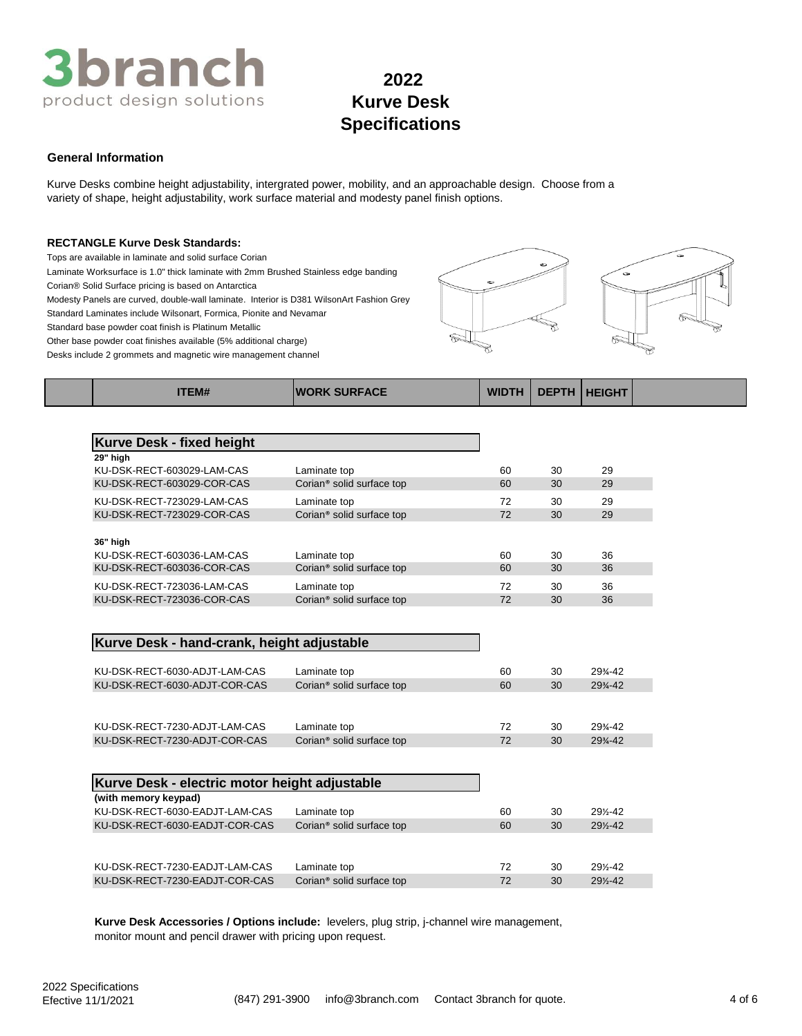

# **General Information**

Kurve Desks combine height adjustability, intergrated power, mobility, and an approachable design. Choose from a variety of shape, height adjustability, work surface material and modesty panel finish options.

### **RECTANGLE Kurve Desk Standards:**

Tops are available in laminate and solid surface Corian

Laminate Worksurface is 1.0" thick laminate with 2mm Brushed Stainless edge banding

Corian® Solid Surface pricing is based on Antarctica

Modesty Panels are curved, double-wall laminate. Interior is D381 WilsonArt Fashion Grey

Standard Laminates include Wilsonart, Formica, Pionite and Nevamar Standard base powder coat finish is Platinum Metallic

Other base powder coat finishes available (5% additional charge)

Desks include 2 grommets and magnetic wire management channel



| <b>ITEM#</b>                     | <b>IWORK SURFACE</b>                  | <b>WIDTH</b> | <b>DEPTH</b> | <b>HEIGHT</b> |  |
|----------------------------------|---------------------------------------|--------------|--------------|---------------|--|
|                                  |                                       |              |              |               |  |
| <b>Kurve Desk - fixed height</b> |                                       |              |              |               |  |
| 29" high                         |                                       |              |              |               |  |
| KU-DSK-RECT-603029-LAM-CAS       | Laminate top                          | 60           | 30           | 29            |  |
| KU-DSK-RECT-603029-COR-CAS       | Corian <sup>®</sup> solid surface top | 60           | 30           | 29            |  |
| KU-DSK-RECT-723029-LAM-CAS       | Laminate top                          | 72           | 30           | 29            |  |
| KU-DSK-RECT-723029-COR-CAS       | Corian <sup>®</sup> solid surface top | 72           | 30           | 29            |  |
|                                  |                                       |              |              |               |  |
| 36" high                         |                                       |              |              |               |  |
| KU-DSK-RECT-603036-LAM-CAS       | Laminate top                          | 60           | 30           | 36            |  |
| KU-DSK-RECT-603036-COR-CAS       | Corian <sup>®</sup> solid surface top | 60           | 30           | 36            |  |
| KU-DSK-RECT-723036-LAM-CAS       | Laminate top                          | 72           | 30           | 36            |  |
| KU-DSK-RECT-723036-COR-CAS       | Corian <sup>®</sup> solid surface top | 72           | 30           | 36            |  |

## **Kurve Desk - hand-crank, height adjustable**

| KU-DSK-RECT-6030-ADJT-LAM-CAS | Laminate top                          | 60 | 30 | 29%-42               |
|-------------------------------|---------------------------------------|----|----|----------------------|
| KU-DSK-RECT-6030-ADJT-COR-CAS | Corian <sup>®</sup> solid surface top | 60 | 30 | $29% - 42$           |
|                               |                                       |    |    |                      |
| KU-DSK-RECT-7230-ADJT-LAM-CAS | Laminate top                          | 72 | 30 | $29\frac{3}{4} - 42$ |
| KU-DSK-RECT-7230-ADJT-COR-CAS | Corian <sup>®</sup> solid surface top | 72 | 30 | $29% - 42$           |

| Kurve Desk - electric motor height adjustable |                                       |    |    |        |
|-----------------------------------------------|---------------------------------------|----|----|--------|
| (with memory keypad)                          |                                       |    |    |        |
| KU-DSK-RECT-6030-EADJT-LAM-CAS                | Laminate top                          | 60 | 30 | 29%-42 |
| KU-DSK-RECT-6030-EADJT-COR-CAS                | Corian <sup>®</sup> solid surface top | 60 | 30 | 29%-42 |
|                                               |                                       |    |    |        |
|                                               |                                       |    |    |        |
| KU-DSK-RECT-7230-EADJT-LAM-CAS                | Laminate top                          | 72 | 30 | 29%-42 |
| KU-DSK-RECT-7230-EADJT-COR-CAS                | Corian <sup>®</sup> solid surface top | 72 | 30 | 29%-42 |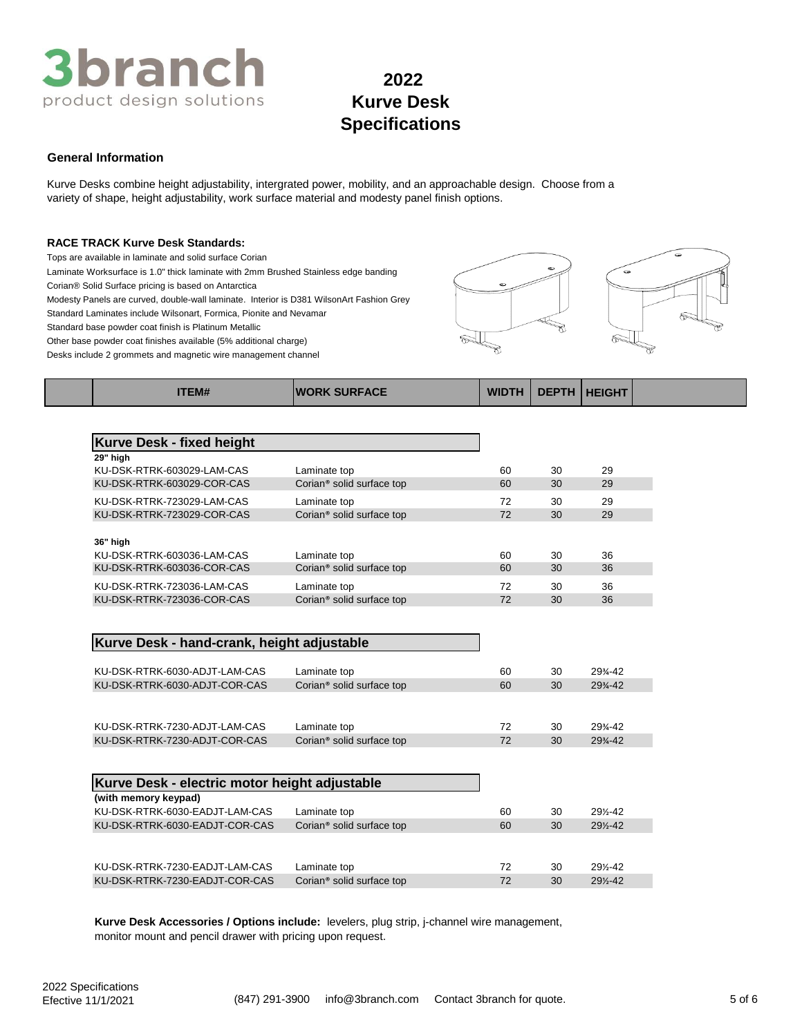

# **General Information**

Kurve Desks combine height adjustability, intergrated power, mobility, and an approachable design. Choose from a variety of shape, height adjustability, work surface material and modesty panel finish options.

### **RACE TRACK Kurve Desk Standards:**

Tops are available in laminate and solid surface Corian

Laminate Worksurface is 1.0" thick laminate with 2mm Brushed Stainless edge banding

Corian® Solid Surface pricing is based on Antarctica

Modesty Panels are curved, double-wall laminate. Interior is D381 WilsonArt Fashion Grey

Standard Laminates include Wilsonart, Formica, Pionite and Nevamar

Standard base powder coat finish is Platinum Metallic

Other base powder coat finishes available (5% additional charge)

Desks include 2 grommets and magnetic wire management channel



| <b>Kurve Desk - fixed height</b> |                                       |    |    |    |
|----------------------------------|---------------------------------------|----|----|----|
| 29" high                         |                                       |    |    |    |
| KU-DSK-RTRK-603029-LAM-CAS       | Laminate top                          | 60 | 30 | 29 |
| KU-DSK-RTRK-603029-COR-CAS       | Corian <sup>®</sup> solid surface top | 60 | 30 | 29 |
| KU-DSK-RTRK-723029-LAM-CAS       | Laminate top                          | 72 | 30 | 29 |
| KU-DSK-RTRK-723029-COR-CAS       | Corian <sup>®</sup> solid surface top | 72 | 30 | 29 |
|                                  |                                       |    |    |    |
| 36" high                         |                                       |    |    |    |
| KU-DSK-RTRK-603036-LAM-CAS       | Laminate top                          | 60 | 30 | 36 |
| KU-DSK-RTRK-603036-COR-CAS       | Corian <sup>®</sup> solid surface top | 60 | 30 | 36 |
| KU-DSK-RTRK-723036-LAM-CAS       | Laminate top                          | 72 | 30 | 36 |

**ITEM# WORK SURFACE WIDTH DEPTH HEIGHT**

## **Kurve Desk - hand-crank, height adjustable**

| KU-DSK-RTRK-6030-ADJT-LAM-CAS<br>KU-DSK-RTRK-6030-ADJT-COR-CAS | Laminate top<br>Corian <sup>®</sup> solid surface top | 60<br>60 | 30<br>30 | 29%-42<br>$29% - 42$ |
|----------------------------------------------------------------|-------------------------------------------------------|----------|----------|----------------------|
|                                                                |                                                       |          |          |                      |
| KU-DSK-RTRK-7230-ADJT-LAM-CAS                                  | Laminate top                                          | 72       | 30       | 29%-42               |
| KU-DSK-RTRK-7230-ADJT-COR-CAS                                  | Corian <sup>®</sup> solid surface top                 | 72       | 30       | $29% - 42$           |

KU-DSK-RTRK-723036-COR-CAS Corian® solid surface top 72 30 36

| Kurve Desk - electric motor height adjustable |                                       |    |    |        |
|-----------------------------------------------|---------------------------------------|----|----|--------|
| (with memory keypad)                          |                                       |    |    |        |
| KU-DSK-RTRK-6030-EADJT-LAM-CAS                | Laminate top                          | 60 | 30 | 29%-42 |
| KU-DSK-RTRK-6030-EADJT-COR-CAS                | Corian <sup>®</sup> solid surface top | 60 | 30 | 29%-42 |
|                                               |                                       |    |    |        |
|                                               |                                       |    |    |        |
| KU-DSK-RTRK-7230-EADJT-LAM-CAS                | Laminate top                          | 72 | 30 | 29%-42 |
| KU-DSK-RTRK-7230-EADJT-COR-CAS                | Corian <sup>®</sup> solid surface top | 72 | 30 | 29%-42 |